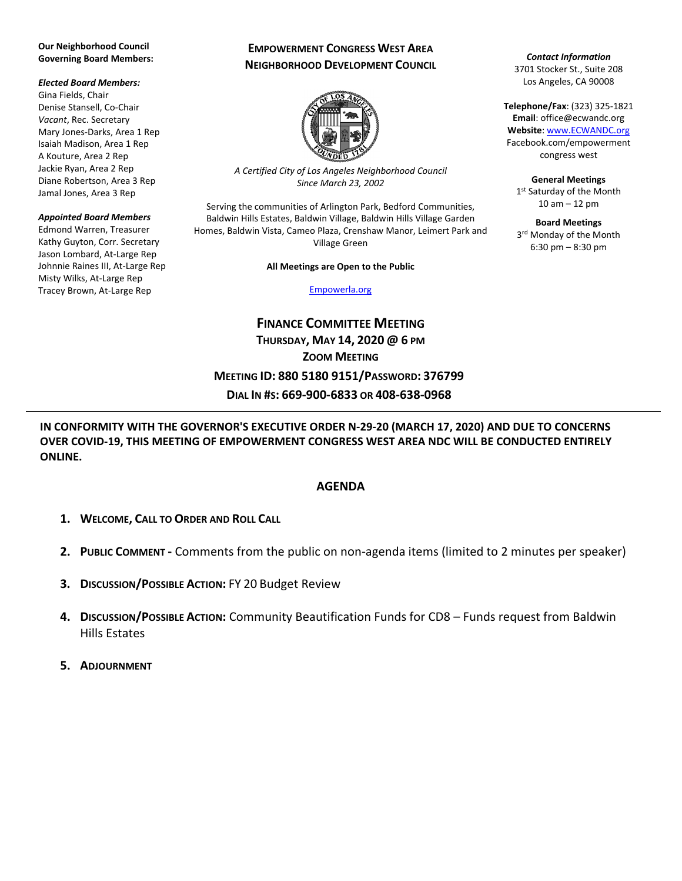### **Our Neighborhood Council Governing Board Members:**

### *Elected Board Members:*

Gina Fields, Chair Denise Stansell, Co-Chair *Vacant*, Rec. Secretary Mary Jones-Darks, Area 1 Rep Isaiah Madison, Area 1 Rep A Kouture, Area 2 Rep Jackie Ryan, Area 2 Rep Diane Robertson, Area 3 Rep Jamal Jones, Area 3 Rep

### *Appointed Board Members*

Edmond Warren, Treasurer Kathy Guyton, Corr. Secretary Jason Lombard, At-Large Rep Johnnie Raines III, At-Large Rep Misty Wilks, At-Large Rep Tracey Brown, At-Large Rep

# **EMPOWERMENT CONGRESS WEST AREA NEIGHBORHOOD DEVELOPMENT COUNCIL**



*A Certified City of Los Angeles Neighborhood Council Since March 23, 2002*

Serving the communities of Arlington Park, Bedford Communities, Baldwin Hills Estates, Baldwin Village, Baldwin Hills Village Garden Homes, Baldwin Vista, Cameo Plaza, Crenshaw Manor, Leimert Park and Village Green

### **All Meetings are Open to the Public**

### [Empowerla.org](http://www.empowerla.org/)

**FINANCE COMMITTEE MEETING THURSDAY, MAY 14, 2020 @ 6 PM ZOOM MEETING MEETING ID: 880 5180 9151/PASSWORD: 376799 DIAL IN #S: 669-900-6833 OR 408-638-0968**

*Contact Information* 3701 Stocker St., Suite 208 Los Angeles, CA 90008

**Telephone/Fax**: (323) 325-1821 **Email**: office@ecwandc.org **Website**[: www.ECWANDC.org](http://www.ecwandc.org/) Facebook.com/empowerment congress west

**General Meetings** 1st Saturday of the Month 10 am – 12 pm

**Board Meetings** 3<sup>rd</sup> Monday of the Month 6:30 pm – 8:30 pm

**IN CONFORMITY WITH THE GOVERNOR'S EXECUTIVE ORDER N-29-20 (MARCH 17, 2020) AND DUE TO CONCERNS OVER COVID-19, THIS MEETING OF EMPOWERMENT CONGRESS WEST AREA NDC WILL BE CONDUCTED ENTIRELY ONLINE.**

# **AGENDA**

- **1. WELCOME, CALL TO ORDER AND ROLL CALL**
- **2. PUBLIC COMMENT -** Comments from the public on non-agenda items (limited to 2 minutes per speaker)
- **3. DISCUSSION/POSSIBLE ACTION:** FY 20 Budget Review
- **4. DISCUSSION/POSSIBLE ACTION:** Community Beautification Funds for CD8 Funds request from Baldwin Hills Estates
- **5. ADJOURNMENT**